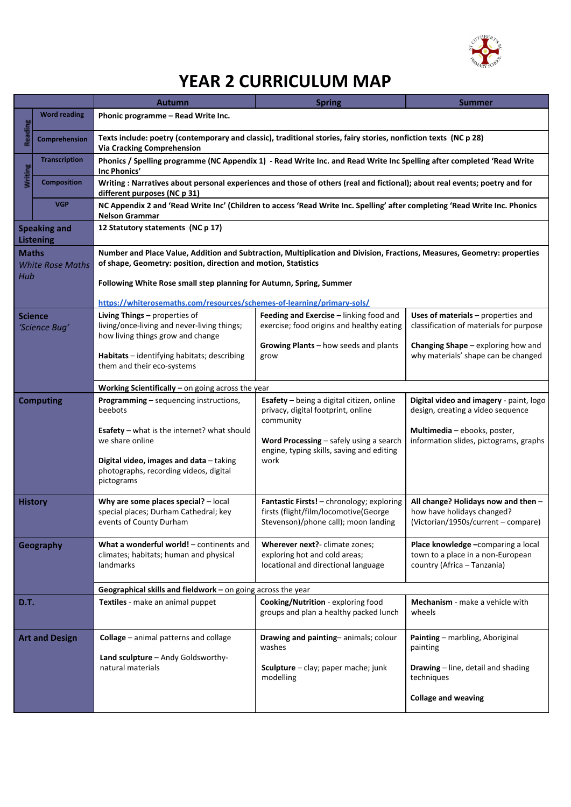

# **YEAR 2 CURRICULUM MAP**

|                                                |                          | <b>Autumn</b>                                                                                                                                                                                                                                                     | <b>Spring</b>                                                                                                              | Summer                                                                                                   |  |
|------------------------------------------------|--------------------------|-------------------------------------------------------------------------------------------------------------------------------------------------------------------------------------------------------------------------------------------------------------------|----------------------------------------------------------------------------------------------------------------------------|----------------------------------------------------------------------------------------------------------|--|
|                                                | <b>Word reading</b>      | Phonic programme - Read Write Inc.                                                                                                                                                                                                                                |                                                                                                                            |                                                                                                          |  |
| Reading                                        | <b>Comprehension</b>     | Texts include: poetry (contemporary and classic), traditional stories, fairy stories, nonfiction texts (NC p 28)<br><b>Via Cracking Comprehension</b>                                                                                                             |                                                                                                                            |                                                                                                          |  |
| Writing                                        | <b>Transcription</b>     | Phonics / Spelling programme (NC Appendix 1) - Read Write Inc. and Read Write Inc Spelling after completed 'Read Write<br>Inc Phonics'                                                                                                                            |                                                                                                                            |                                                                                                          |  |
|                                                | <b>Composition</b>       | Writing : Narratives about personal experiences and those of others (real and fictional); about real events; poetry and for<br>different purposes (NC p 31)                                                                                                       |                                                                                                                            |                                                                                                          |  |
|                                                | <b>VGP</b>               | NC Appendix 2 and 'Read Write Inc' (Children to access 'Read Write Inc. Spelling' after completing 'Read Write Inc. Phonics<br><b>Nelson Grammar</b>                                                                                                              |                                                                                                                            |                                                                                                          |  |
| <b>Speaking and</b><br><b>Listening</b>        |                          | 12 Statutory statements (NC p 17)                                                                                                                                                                                                                                 |                                                                                                                            |                                                                                                          |  |
| <b>Maths</b><br><b>White Rose Maths</b><br>Hub |                          | Number and Place Value, Addition and Subtraction, Multiplication and Division, Fractions, Measures, Geometry: properties<br>of shape, Geometry: position, direction and motion, Statistics<br>Following White Rose small step planning for Autumn, Spring, Summer |                                                                                                                            |                                                                                                          |  |
|                                                |                          | https://whiterosemaths.com/resources/schemes-of-learning/primary-sols/                                                                                                                                                                                            |                                                                                                                            |                                                                                                          |  |
|                                                | Science<br>'Science Bug' | Living Things - properties of<br>living/once-living and never-living things;                                                                                                                                                                                      | Feeding and Exercise - linking food and<br>exercise; food origins and healthy eating                                       | Uses of materials - properties and<br>classification of materials for purpose                            |  |
|                                                |                          | how living things grow and change<br>Habitats - identifying habitats; describing<br>them and their eco-systems                                                                                                                                                    | Growing Plants - how seeds and plants<br>grow                                                                              | <b>Changing Shape</b> – exploring how and<br>why materials' shape can be changed                         |  |
|                                                |                          | Working Scientifically $-$ on going across the year                                                                                                                                                                                                               |                                                                                                                            |                                                                                                          |  |
| <b>Computing</b>                               |                          | Programming - sequencing instructions,<br>beebots                                                                                                                                                                                                                 | Esafety - being a digital citizen, online<br>privacy, digital footprint, online<br>community                               | Digital video and imagery - paint, logo<br>design, creating a video sequence                             |  |
|                                                |                          | <b>Esafety</b> – what is the internet? what should<br>we share online                                                                                                                                                                                             | Word Processing $-$ safely using a search<br>engine, typing skills, saving and editing<br>work                             | Multimedia - ebooks, poster,<br>information slides, pictograms, graphs                                   |  |
|                                                |                          | Digital video, images and data - taking<br>photographs, recording videos, digital<br>pictograms                                                                                                                                                                   |                                                                                                                            |                                                                                                          |  |
|                                                | <b>History</b>           | Why are some places special? $-$ local<br>special places; Durham Cathedral; key<br>events of County Durham                                                                                                                                                        | Fantastic Firsts! - chronology; exploring<br>firsts (flight/film/locomotive(George<br>Stevenson)/phone call); moon landing | All change? Holidays now and then -<br>how have holidays changed?<br>(Victorian/1950s/current - compare) |  |
| Geography                                      |                          | What a wonderful world! - continents and<br>climates; habitats; human and physical<br>landmarks                                                                                                                                                                   | Wherever next?- climate zones;<br>exploring hot and cold areas;<br>locational and directional language                     | Place knowledge -comparing a local<br>town to a place in a non-European<br>country (Africa - Tanzania)   |  |
|                                                |                          | Geographical skills and fieldwork - on going across the year                                                                                                                                                                                                      |                                                                                                                            |                                                                                                          |  |
| D.T.                                           |                          | Textiles - make an animal puppet                                                                                                                                                                                                                                  | Cooking/Nutrition - exploring food<br>groups and plan a healthy packed lunch                                               | Mechanism - make a vehicle with<br>wheels                                                                |  |
|                                                | <b>Art and Design</b>    | <b>Collage</b> – animal patterns and collage                                                                                                                                                                                                                      | Drawing and painting-animals; colour<br>washes                                                                             | Painting - marbling, Aboriginal<br>painting                                                              |  |
|                                                |                          | Land sculpture - Andy Goldsworthy-<br>natural materials                                                                                                                                                                                                           | Sculpture - clay; paper mache; junk<br>modelling                                                                           | <b>Drawing</b> - line, detail and shading<br>techniques                                                  |  |
|                                                |                          |                                                                                                                                                                                                                                                                   |                                                                                                                            | <b>Collage and weaving</b>                                                                               |  |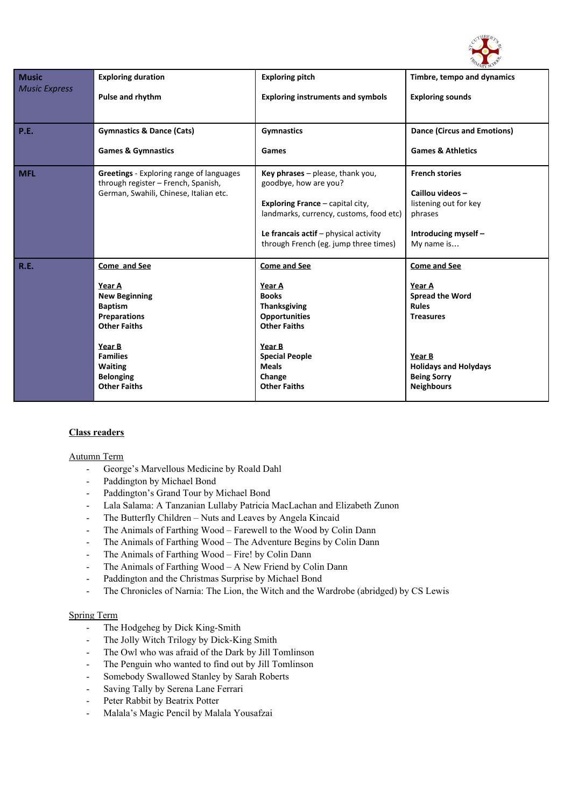

| <b>Music</b>         | <b>Exploring duration</b>                                                                                                                                                                                | <b>Exploring pitch</b>                                                                                                                                                                                                                     | Timbre, tempo and dynamics                                                                                                                                                |
|----------------------|----------------------------------------------------------------------------------------------------------------------------------------------------------------------------------------------------------|--------------------------------------------------------------------------------------------------------------------------------------------------------------------------------------------------------------------------------------------|---------------------------------------------------------------------------------------------------------------------------------------------------------------------------|
| <b>Music Express</b> | <b>Pulse and rhythm</b>                                                                                                                                                                                  | <b>Exploring instruments and symbols</b>                                                                                                                                                                                                   | <b>Exploring sounds</b>                                                                                                                                                   |
| <b>P.E.</b>          | <b>Gymnastics &amp; Dance (Cats)</b>                                                                                                                                                                     | <b>Gymnastics</b>                                                                                                                                                                                                                          | <b>Dance (Circus and Emotions)</b>                                                                                                                                        |
|                      | <b>Games &amp; Gymnastics</b>                                                                                                                                                                            | Games                                                                                                                                                                                                                                      | <b>Games &amp; Athletics</b>                                                                                                                                              |
| <b>MFL</b>           | <b>Greetings</b> - Exploring range of languages<br>through register - French, Spanish,<br>German, Swahili, Chinese, Italian etc.                                                                         | Key phrases - please, thank you,<br>goodbye, how are you?<br><b>Exploring France - capital city,</b><br>landmarks, currency, customs, food etc)<br>Le francais $\text{actif}$ – physical activity<br>through French (eg. jump three times) | <b>French stories</b><br>Caillou videos-<br>listening out for key<br>phrases<br>Introducing myself -<br>My name is                                                        |
| R.E.                 | Come and See<br>Year A<br><b>New Beginning</b><br><b>Baptism</b><br><b>Preparations</b><br><b>Other Faiths</b><br>Year B<br><b>Families</b><br><b>Waiting</b><br><b>Belonging</b><br><b>Other Faiths</b> | Come and See<br>Year A<br><b>Books</b><br><b>Thanksgiving</b><br><b>Opportunities</b><br><b>Other Faiths</b><br>Year B<br><b>Special People</b><br><b>Meals</b><br>Change<br><b>Other Faiths</b>                                           | Come and See<br>Year A<br><b>Spread the Word</b><br><b>Rules</b><br><b>Treasures</b><br>Year B<br><b>Holidays and Holydays</b><br><b>Being Sorry</b><br><b>Neighbours</b> |

### **Class readers**

#### Autumn Term

- George's Marvellous Medicine by Roald Dahl
- Paddington by Michael Bond
- Paddington's Grand Tour by Michael Bond
- Lala Salama: A Tanzanian Lullaby Patricia MacLachan and Elizabeth Zunon
- The Butterfly Children Nuts and Leaves by Angela Kincaid
- The Animals of Farthing Wood Farewell to the Wood by Colin Dann
- The Animals of Farthing Wood The Adventure Begins by Colin Dann
- The Animals of Farthing Wood Fire! by Colin Dann
- The Animals of Farthing Wood A New Friend by Colin Dann
- Paddington and the Christmas Surprise by Michael Bond
- The Chronicles of Narnia: The Lion, the Witch and the Wardrobe (abridged) by CS Lewis

#### Spring Term

- The Hodgeheg by Dick King-Smith
- The Jolly Witch Trilogy by Dick-King Smith
- The Owl who was afraid of the Dark by Jill Tomlinson
- The Penguin who wanted to find out by Jill Tomlinson
- Somebody Swallowed Stanley by Sarah Roberts
- Saving Tally by Serena Lane Ferrari
- Peter Rabbit by Beatrix Potter
- Malala's Magic Pencil by Malala Yousafzai